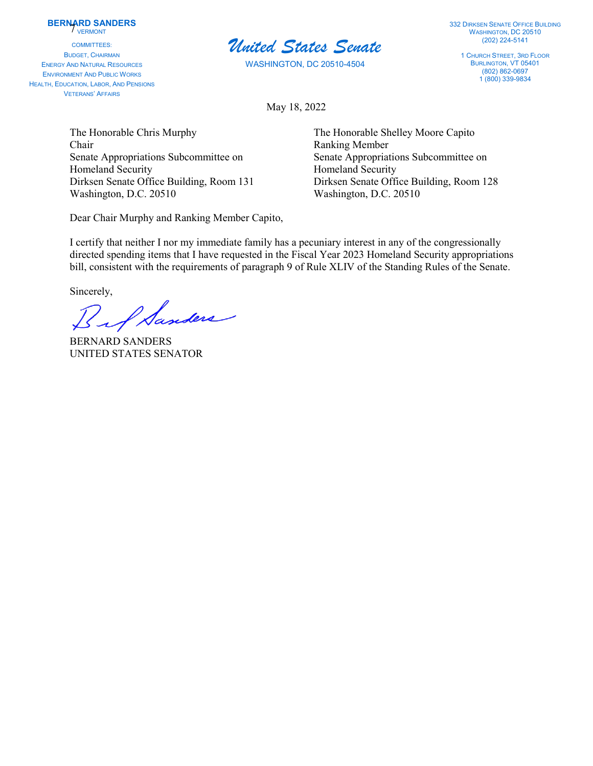## **BERNARD SANDERS VERMONT**

COMMITTEES: BUDGET, CHAIRMAN ENERGY AND NATURAL RESOURCES ENVIRONMENT AND PUBLIC WORKS HEALTH, EDUCATION, LABOR, AND PENSIONS VETERANS' AFFAIRS



WASHINGTON, DC 20510-4504

332 DIRKSEN SENATE OFFICE BUILDING WASHINGTON, DC 20510 (202) 224-5141

1 CHURCH STREET, 3RD FLOOR BURLINGTON, VT 05401 (802) 862-0697 1 (800) 339-9834

May 18, 2022

The Honorable Chris Murphy The Honorable Shelley Moore Capito Chair Ranking Member Senate Appropriations Subcommittee on Senate Appropriations Subcommittee on Homeland Security **Homeland Security Homeland Security** Washington, D.C. 20510 Washington, D.C. 20510

Dear Chair Murphy and Ranking Member Capito,

Dirksen Senate Office Building, Room 131 Dirksen Senate Office Building, Room 128

I certify that neither I nor my immediate family has a pecuniary interest in any of the congressionally directed spending items that I have requested in the Fiscal Year 2023 Homeland Security appropriations bill, consistent with the requirements of paragraph 9 of Rule XLIV of the Standing Rules of the Senate.

Sincerely,

I Sanders

BERNARD SANDERS UNITED STATES SENATOR